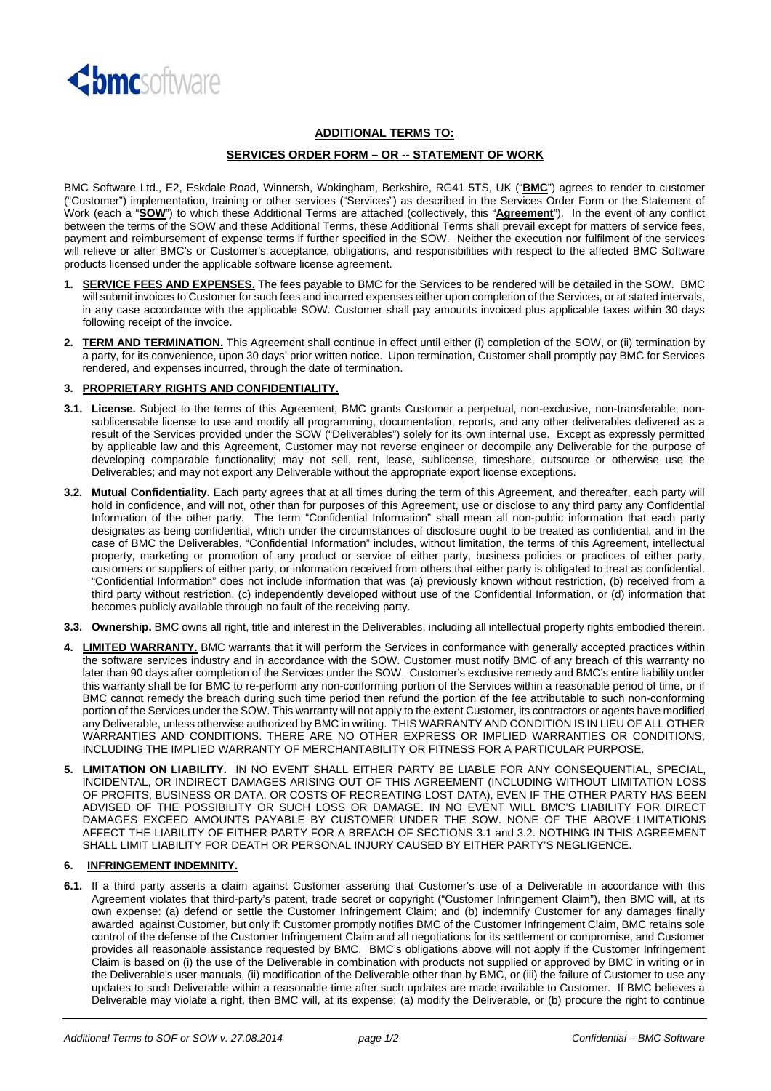

## **ADDITIONAL TERMS TO:**

## **SERVICES ORDER FORM – OR -- STATEMENT OF WORK**

BMC Software Ltd., E2, Eskdale Road, Winnersh, Wokingham, Berkshire, RG41 5TS, UK ("**BMC**") agrees to render to customer ("Customer") implementation, training or other services ("Services") as described in the Services Order Form or the Statement of Work (each a "**SOW**") to which these Additional Terms are attached (collectively, this "**Agreement**"). In the event of any conflict between the terms of the SOW and these Additional Terms, these Additional Terms shall prevail except for matters of service fees, payment and reimbursement of expense terms if further specified in the SOW. Neither the execution nor fulfilment of the services will relieve or alter BMC's or Customer's acceptance, obligations, and responsibilities with respect to the affected BMC Software products licensed under the applicable software license agreement.

- **1. SERVICE FEES AND EXPENSES.** The fees payable to BMC for the Services to be rendered will be detailed in the SOW. BMC will submit invoices to Customer for such fees and incurred expenses either upon completion of the Services, or at stated intervals, in any case accordance with the applicable SOW. Customer shall pay amounts invoiced plus applicable taxes within 30 days following receipt of the invoice.
- **2. TERM AND TERMINATION.** This Agreement shall continue in effect until either (i) completion of the SOW, or (ii) termination by a party, for its convenience, upon 30 days' prior written notice. Upon termination, Customer shall promptly pay BMC for Services rendered, and expenses incurred, through the date of termination.

## **3. PROPRIETARY RIGHTS AND CONFIDENTIALITY.**

- **3.1. License.** Subject to the terms of this Agreement, BMC grants Customer a perpetual, non-exclusive, non-transferable, nonsublicensable license to use and modify all programming, documentation, reports, and any other deliverables delivered as a result of the Services provided under the SOW ("Deliverables") solely for its own internal use. Except as expressly permitted by applicable law and this Agreement, Customer may not reverse engineer or decompile any Deliverable for the purpose of developing comparable functionality; may not sell, rent, lease, sublicense, timeshare, outsource or otherwise use the Deliverables; and may not export any Deliverable without the appropriate export license exceptions.
- **3.2. Mutual Confidentiality.** Each party agrees that at all times during the term of this Agreement, and thereafter, each party will hold in confidence, and will not, other than for purposes of this Agreement, use or disclose to any third party any Confidential Information of the other party. The term "Confidential Information" shall mean all non-public information that each party designates as being confidential, which under the circumstances of disclosure ought to be treated as confidential, and in the case of BMC the Deliverables. "Confidential Information" includes, without limitation, the terms of this Agreement, intellectual property, marketing or promotion of any product or service of either party, business policies or practices of either party, customers or suppliers of either party, or information received from others that either party is obligated to treat as confidential. "Confidential Information" does not include information that was (a) previously known without restriction, (b) received from a third party without restriction, (c) independently developed without use of the Confidential Information, or (d) information that becomes publicly available through no fault of the receiving party.
- **3.3. Ownership.** BMC owns all right, title and interest in the Deliverables, including all intellectual property rights embodied therein.
- **4. LIMITED WARRANTY.** BMC warrants that it will perform the Services in conformance with generally accepted practices within the software services industry and in accordance with the SOW. Customer must notify BMC of any breach of this warranty no later than 90 days after completion of the Services under the SOW. Customer's exclusive remedy and BMC's entire liability under this warranty shall be for BMC to re-perform any non-conforming portion of the Services within a reasonable period of time, or if BMC cannot remedy the breach during such time period then refund the portion of the fee attributable to such non-conforming portion of the Services under the SOW. This warranty will not apply to the extent Customer, its contractors or agents have modified any Deliverable, unless otherwise authorized by BMC in writing. THIS WARRANTY AND CONDITION IS IN LIEU OF ALL OTHER WARRANTIES AND CONDITIONS. THERE ARE NO OTHER EXPRESS OR IMPLIED WARRANTIES OR CONDITIONS, INCLUDING THE IMPLIED WARRANTY OF MERCHANTABILITY OR FITNESS FOR A PARTICULAR PURPOSE.
- **5. LIMITATION ON LIABILITY.** IN NO EVENT SHALL EITHER PARTY BE LIABLE FOR ANY CONSEQUENTIAL, SPECIAL, INCIDENTAL, OR INDIRECT DAMAGES ARISING OUT OF THIS AGREEMENT (INCLUDING WITHOUT LIMITATION LOSS OF PROFITS, BUSINESS OR DATA, OR COSTS OF RECREATING LOST DATA), EVEN IF THE OTHER PARTY HAS BEEN ADVISED OF THE POSSIBILITY OR SUCH LOSS OR DAMAGE. IN NO EVENT WILL BMC'S LIABILITY FOR DIRECT DAMAGES EXCEED AMOUNTS PAYABLE BY CUSTOMER UNDER THE SOW. NONE OF THE ABOVE LIMITATIONS AFFECT THE LIABILITY OF EITHER PARTY FOR A BREACH OF SECTIONS 3.1 and 3.2. NOTHING IN THIS AGREEMENT SHALL LIMIT LIABILITY FOR DEATH OR PERSONAL INJURY CAUSED BY EITHER PARTY'S NEGLIGENCE.

## **6. INFRINGEMENT INDEMNITY.**

**6.1.** If a third party asserts a claim against Customer asserting that Customer's use of a Deliverable in accordance with this Agreement violates that third-party's patent, trade secret or copyright ("Customer Infringement Claim"), then BMC will, at its own expense: (a) defend or settle the Customer Infringement Claim; and (b) indemnify Customer for any damages finally awarded against Customer, but only if: Customer promptly notifies BMC of the Customer Infringement Claim, BMC retains sole control of the defense of the Customer Infringement Claim and all negotiations for its settlement or compromise, and Customer provides all reasonable assistance requested by BMC. BMC's obligations above will not apply if the Customer Infringement Claim is based on (i) the use of the Deliverable in combination with products not supplied or approved by BMC in writing or in the Deliverable's user manuals, (ii) modification of the Deliverable other than by BMC, or (iii) the failure of Customer to use any updates to such Deliverable within a reasonable time after such updates are made available to Customer. If BMC believes a Deliverable may violate a right, then BMC will, at its expense: (a) modify the Deliverable, or (b) procure the right to continue